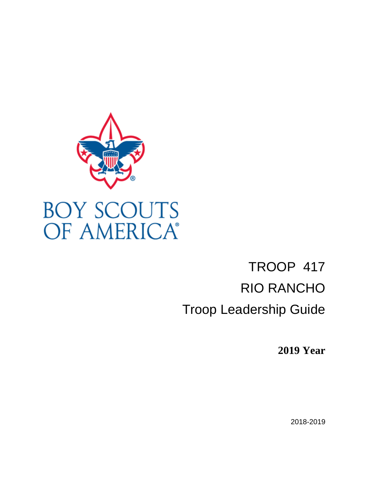

# TROOP 417 RIO RANCHO Troop Leadership Guide

**2019 Year** 

2018-2019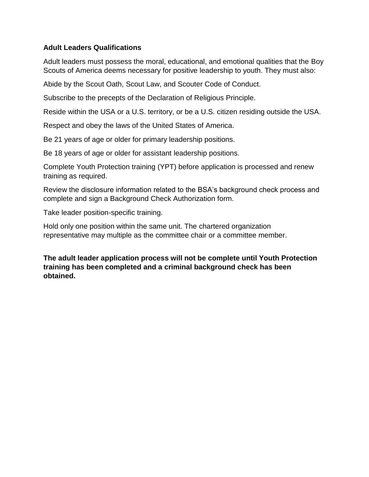## **Adult Leaders Qualifications**

Adult leaders must possess the moral, educational, and emotional qualities that the [Boy](https://meritbadge.org/wiki/index.php/Boy_Scouts_of_America)  [Scouts of America](https://meritbadge.org/wiki/index.php/Boy_Scouts_of_America) deems necessary for positive leadership to youth. They must also:

Abide by the [Scout Oath,](https://meritbadge.org/wiki/index.php/Scout_Oath) [Scout Law,](https://meritbadge.org/wiki/index.php/Scout_Law) and [Scouter Code of Conduct.](https://meritbadge.org/wiki/index.php/Scouter_Code_of_Conduct)

Subscribe to the precepts of the [Declaration of Religious Principle.](https://meritbadge.org/wiki/index.php/Declaration_of_Religious_Principle)

Reside within the USA or a U.S. territory, or be a U.S. citizen residing outside the USA.

Respect and obey the laws of the United States of America.

Be 21 years of age or older for primary leadership positions.

Be 18 years of age or older for assistant leadership positions.

Complete [Youth Protection training](https://meritbadge.org/wiki/index.php/Youth_Protection_training) (YPT) before application is processed and renew training as required.

Review the disclosure information related to the BSA's background check process and complete and sign a Background Check Authorization form.

Take leader position-specific training.

Hold only one position within the same unit. The [chartered organization](https://meritbadge.org/wiki/index.php/Chartered_organization_representative)  [representative](https://meritbadge.org/wiki/index.php/Chartered_organization_representative) may multiple as the [committee](https://meritbadge.org/wiki/index.php/Committee_chair) chair or a [committee member.](https://meritbadge.org/wiki/index.php?title=Committee_member&action=edit)

**The adult leader application process will not be complete until Youth Protection training has been completed and a criminal background check has been obtained.**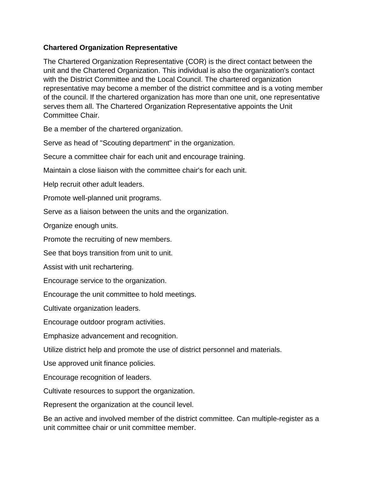## **Chartered Organization Representative**

The Chartered Organization Representative (COR) is the direct contact between the unit and the [Chartered Organization.](https://meritbadge.org/wiki/index.php/Chartered_Organization) This individual is also the organization's contact with the [District Committee](https://meritbadge.org/wiki/index.php/District_Committee) and the [Local Council.](https://meritbadge.org/wiki/index.php/Local_Council) The chartered organization representative may become a member of the district committee and is a voting member of the council. If the chartered organization has more than one unit, one representative serves them all. The Chartered Organization Representative appoints the Unit Committee Chair.

Be a member of the chartered organization.

Serve as head of "Scouting department" in the organization.

Secure a committee chair for each unit and encourage training.

Maintain a close liaison with the committee chair's for each unit.

Help recruit other adult leaders.

Promote well-planned unit programs.

Serve as a liaison between the units and the organization.

Organize enough units.

Promote the recruiting of new members.

See that boys transition from unit to unit.

Assist with unit rechartering.

Encourage service to the organization.

Encourage the unit committee to hold meetings.

Cultivate organization leaders.

Encourage outdoor program activities.

Emphasize advancement and recognition.

Utilize district help and promote the use of district personnel and materials.

Use approved unit finance policies.

Encourage recognition of leaders.

Cultivate resources to support the organization.

Represent the organization at the [council](https://meritbadge.org/wiki/index.php/Local_council) level.

Be an active and involved member of the [district committee.](https://meritbadge.org/wiki/index.php/District_committee) Can multiple-register as a unit committee chair or unit committee member.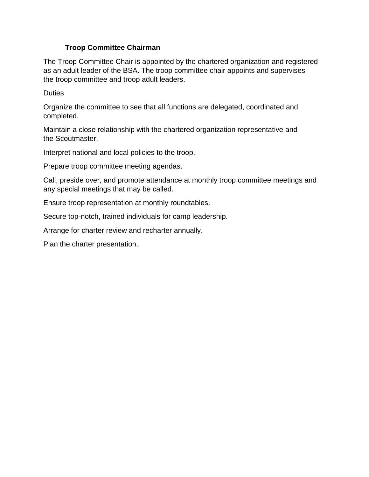## **Troop Committee Chairman**

The Troop Committee Chair is appointed by the [chartered organization](https://meritbadge.org/wiki/index.php/Chartered_organization) and registered as an [adult leader](https://meritbadge.org/wiki/index.php/Adult_leader) of the BSA. The troop committee chair appoints and supervises the [troop committee](https://meritbadge.org/wiki/index.php/Troop_committee) and troop adult leaders.

**Duties** 

Organize the committee to see that all functions are delegated, coordinated and completed.

Maintain a close relationship with the [chartered organization representative](https://meritbadge.org/wiki/index.php/Chartered_organization_representative) and the [Scoutmaster.](https://meritbadge.org/wiki/index.php/Scoutmaster)

Interpret national and local policies to the troop.

Prepare troop committee meeting agendas.

Call, preside over, and promote attendance at monthly troop committee meetings and any special meetings that may be called.

Ensure troop representation at monthly [roundtables.](https://meritbadge.org/wiki/index.php/Roundtable)

Secure top-notch, trained individuals for camp leadership.

Arrange for [charter review and recharter annually.](https://meritbadge.org/wiki/index.php/Unit_Charter_Renewal)

Plan the charter presentation.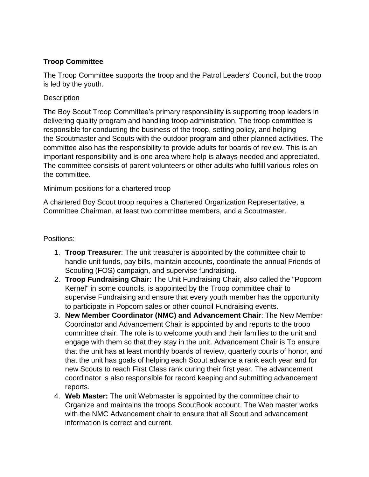## **Troop Committee**

The Troop Committee supports the [troop](https://meritbadge.org/wiki/index.php/Troop) and the [Patrol Leaders' Council,](https://meritbadge.org/wiki/index.php/Patrol_Leaders%27_Council) but the troop is led by the youth.

## **Description**

The Boy Scout Troop Committee's primary responsibility is supporting troop leaders in delivering quality program and handling troop administration. The troop committee is responsible for conducting the business of the troop, setting policy, and helping the [Scoutmaster](https://meritbadge.org/wiki/index.php/Scoutmaster) and Scouts with the outdoor program and other planned activities. The committee also has the responsibility to provide adults for [boards of review.](https://meritbadge.org/wiki/index.php/Boards_of_review) This is an important responsibility and is one area where help is always needed and appreciated. The committee consists of parent volunteers or other adults who fulfill various roles on the committee.

## Minimum positions for a chartered troop

A chartered Boy Scout troop requires a [Chartered Organization Representative,](https://meritbadge.org/wiki/index.php/Chartered_Organization_Representative) a Committee Chairman, at least two committee members, and a Scoutmaster.

## Positions:

- 1. **Troop Treasurer**: The [unit treasurer](https://meritbadge.org/wiki/index.php/Unit_treasurer) is appointed by the committee chair to handle unit funds, pay bills, maintain accounts, coordinate the annual Friends of Scouting (FOS) campaign, and supervise fundraising.
- 2. **Troop Fundraising Chair**: The [Unit Fundraising Chair,](https://meritbadge.org/wiki/index.php/Unit_Fundraising_Chair) also called the "Popcorn Kernel" in some [councils,](https://meritbadge.org/wiki/index.php/Council) is appointed by the Troop committee chair to supervise [Fundraising](https://meritbadge.org/wiki/index.php/Fundraising) and ensure that every youth member has the opportunity to participate in [Popcorn](https://meritbadge.org/wiki/index.php/Popcorn) sales or other council [Fundraising](https://meritbadge.org/wiki/index.php/Fundraising) events.
- 3. **New Member Coordinator (NMC) and Advancement Chair**: The [New Member](https://meritbadge.org/wiki/index.php/New_Member_Coordinator)  [Coordinator](https://meritbadge.org/wiki/index.php/New_Member_Coordinator) and Advancement Chair is appointed by and reports to the troop committee chair. The role is to welcome youth and their families to the unit and engage with them so that they stay in the unit. Advancement Chair is To ensure that the unit has at least monthly [boards of review,](https://meritbadge.org/wiki/index.php/Boards_of_review) quarterly [courts of honor,](https://meritbadge.org/wiki/index.php/Courts_of_honor) and that the unit has goals of helping each Scout advance a rank each year and for new Scouts to reach [First Class rank during their first year.](https://meritbadge.org/wiki/index.php/First_Class-First_Year) The advancement coordinator is also responsible for record keeping and submitting advancement reports.
- 4. **Web Master:** The [unit Webmaster](https://meritbadge.org/wiki/index.php/Unit_treasurer) is appointed by the committee chair to Organize and maintains the troops ScoutBook account. The Web master works with the NMC Advancement chair to ensure that all Scout and advancement information is correct and current.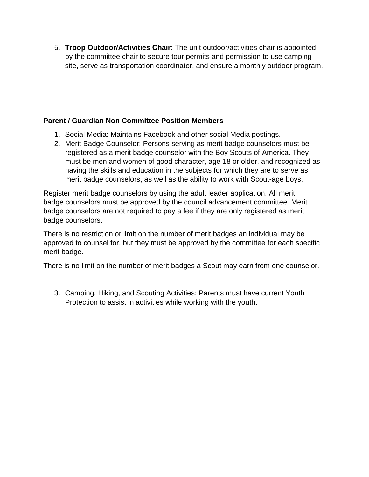5. **Troop Outdoor/Activities Chair**: The [unit outdoor/activities chair](https://meritbadge.org/wiki/index.php/Unit_outdoor/activities_chair) is appointed by the committee chair to secure tour permits and permission to use camping site, serve as transportation coordinator, and ensure a monthly outdoor program.

## **Parent / Guardian Non Committee Position Members**

- 1. Social Media: Maintains Facebook and other social Media postings.
- 2. Merit Badge Counselor: Persons serving as merit badge counselors must be registered as a merit badge counselor with the Boy Scouts of America. They must be men and women of good character, age 18 or older, and recognized as having the skills and education in the subjects for which they are to serve as merit badge counselors, as well as the ability to work with Scout-age boys.

Register merit badge counselors by using the [adult leader](http://meritbadge.org/wiki/index.php/Adult_leader) application. All merit badge counselors must be approved by the council advancement committee. Merit badge counselors are not required to pay a fee if they are only registered as merit badge counselors.

There is no restriction or limit on the number of [merit badges](http://meritbadge.org/wiki/index.php/Merit_Badge_Worksheets) an individual may be approved to counsel for, but they must be approved by the committee for each specific merit badge.

There is no limit on the number of merit badges a Scout may earn from one counselor.

3. Camping, Hiking, and Scouting Activities: Parents must have current Youth Protection to assist in activities while working with the youth.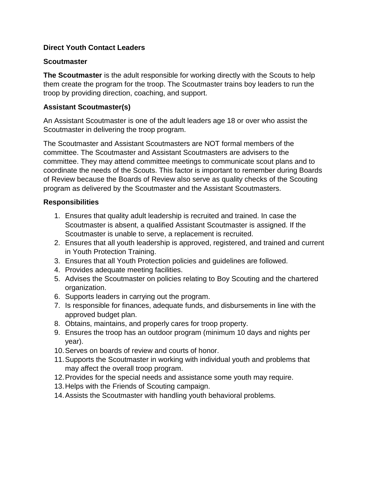## **Direct Youth Contact Leaders**

### **Scoutmaster**

**The [Scoutmaster](https://meritbadge.org/wiki/index.php/Scoutmaster)** is the adult responsible for working directly with the Scouts to help them create the program for the troop. The Scoutmaster trains boy leaders to run the troop by providing direction, coaching, and support.

## **Assistant Scoutmaster(s)**

An [Assistant Scoutmaster](https://meritbadge.org/wiki/index.php/Assistant_Scoutmaster) is one of the [adult leaders](https://meritbadge.org/wiki/index.php/Adult_leader) age 18 or over who assist the Scoutmaster in delivering the troop program.

The Scoutmaster and Assistant Scoutmasters are NOT formal members of the committee. The Scoutmaster and Assistant Scoutmasters are advisers to the committee. They may attend committee meetings to communicate scout plans and to coordinate the needs of the Scouts. This factor is important to remember during Boards of Review because the Boards of Review also serve as quality checks of the Scouting program as delivered by the Scoutmaster and the Assistant Scoutmasters.

## **Responsibilities**

- 1. Ensures that quality adult leadership is recruited and trained. In case the Scoutmaster is absent, a qualified Assistant Scoutmaster is assigned. If the Scoutmaster is unable to serve, a replacement is recruited.
- 2. Ensures that all youth leadership is approved, registered, and trained and current in [Youth Protection Training.](https://meritbadge.org/wiki/index.php/Youth_Protection_Training)
- 3. Ensures that all Youth Protection policies and guidelines are followed.
- 4. Provides adequate meeting facilities.
- 5. Advises the Scoutmaster on policies relating to [Boy Scouting](https://meritbadge.org/wiki/index.php/Boy_Scouting) and the chartered organization.
- 6. Supports leaders in carrying out the program.
- 7. Is responsible for finances, adequate funds, and disbursements in line with the approved budget plan.
- 8. Obtains, maintains, and properly cares for troop property.
- 9. Ensures the troop has an outdoor program (minimum 10 days and nights per year).
- 10.Serves on [boards of review](https://meritbadge.org/wiki/index.php/Boards_of_review) and [courts of honor.](https://meritbadge.org/wiki/index.php/Courts_of_honor)
- 11.Supports the Scoutmaster in working with individual youth and problems that may affect the overall troop program.
- 12.Provides for the special needs and assistance some youth may require.
- 13.Helps with the [Friends of Scouting](https://meritbadge.org/wiki/index.php/Friends_of_Scouting) campaign.
- 14.Assists the Scoutmaster with handling youth behavioral problems.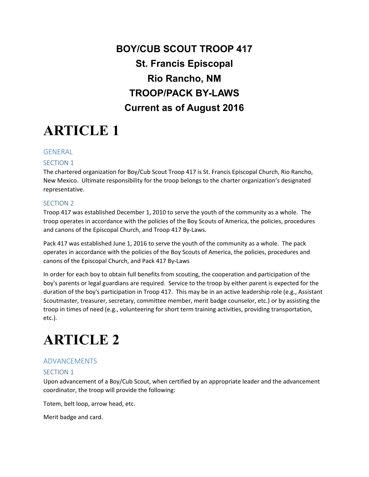## **BOY/CUB SCOUT TROOP 417 St. Francis Episcopal Rio Rancho, NM TROOP/PACK BY-LAWS Current as of August 2016**

# **ARTICLE 1**

### GENERAL

### SECTION 1

The chartered organization for Boy/Cub Scout Troop 417 is St. Francis Episcopal Church, Rio Rancho, New Mexico. Ultimate responsibility for the troop belongs to the charter organization's designated representative.

### SECTION 2

Troop 417 was established December 1, 2010 to serve the youth of the community as a whole. The troop operates in accordance with the policies of the Boy Scouts of America, the policies, procedures and canons of the Episcopal Church, and Troop 417 By-Laws.

Pack 417 was established June 1, 2016 to serve the youth of the community as a whole. The pack operates in accordance with the policies of the Boy Scouts of America, the policies, procedures and canons of the Episcopal Church, and Pack 417 By-Laws

In order for each boy to obtain full benefits from scouting, the cooperation and participation of the boy's parents or legal guardians are required. Service to the troop by either parent is expected for the duration of the boy's participation in Troop 417. This may be in an active leadership role (e.g., Assistant Scoutmaster, treasurer, secretary, committee member, merit badge counselor, etc.) or by assisting the troop in times of need (e.g., volunteering for short term training activities, providing transportation, etc.).

## **ARTICLE 2**

## ADVANCEMENTS

### SECTION 1

Upon advancement of a Boy/Cub Scout, when certified by an appropriate leader and the advancement coordinator, the troop will provide the following:

Totem, belt loop, arrow head, etc.

Merit badge and card.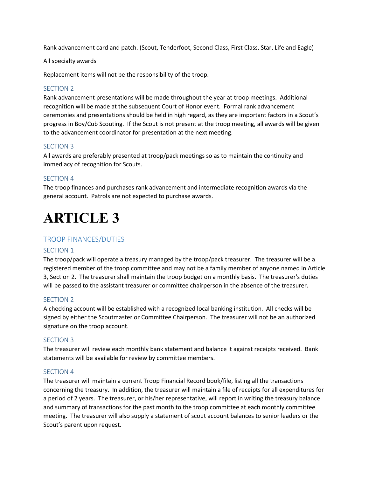Rank advancement card and patch. (Scout, Tenderfoot, Second Class, First Class, Star, Life and Eagle)

All specialty awards

Replacement items will not be the responsibility of the troop.

### SECTION 2

Rank advancement presentations will be made throughout the year at troop meetings. Additional recognition will be made at the subsequent Court of Honor event. Formal rank advancement ceremonies and presentations should be held in high regard, as they are important factors in a Scout's progress in Boy/Cub Scouting. If the Scout is not present at the troop meeting, all awards will be given to the advancement coordinator for presentation at the next meeting.

#### SECTION 3

All awards are preferably presented at troop/pack meetings so as to maintain the continuity and immediacy of recognition for Scouts.

### SECTION 4

The troop finances and purchases rank advancement and intermediate recognition awards via the general account. Patrols are not expected to purchase awards.

## **ARTICLE 3**

### TROOP FINANCES/DUTIES

### SECTION 1

The troop/pack will operate a treasury managed by the troop/pack treasurer. The treasurer will be a registered member of the troop committee and may not be a family member of anyone named in Article 3, Section 2. The treasurer shall maintain the troop budget on a monthly basis. The treasurer's duties will be passed to the assistant treasurer or committee chairperson in the absence of the treasurer.

### SECTION 2

A checking account will be established with a recognized local banking institution. All checks will be signed by either the Scoutmaster or Committee Chairperson. The treasurer will not be an authorized signature on the troop account.

#### SECTION 3

The treasurer will review each monthly bank statement and balance it against receipts received. Bank statements will be available for review by committee members.

#### SECTION 4

The treasurer will maintain a current Troop Financial Record book/file, listing all the transactions concerning the treasury. In addition, the treasurer will maintain a file of receipts for all expenditures for a period of 2 years. The treasurer, or his/her representative, will report in writing the treasury balance and summary of transactions for the past month to the troop committee at each monthly committee meeting. The treasurer will also supply a statement of scout account balances to senior leaders or the Scout's parent upon request.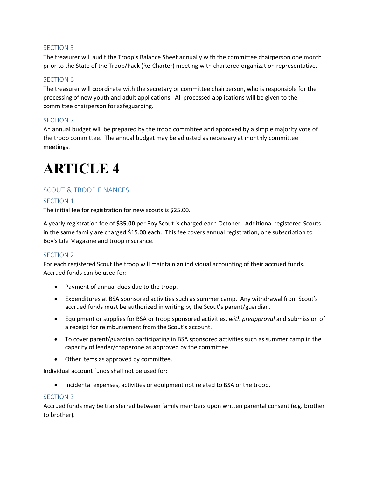The treasurer will audit the Troop's Balance Sheet annually with the committee chairperson one month prior to the State of the Troop/Pack (Re-Charter) meeting with chartered organization representative.

### SECTION 6

The treasurer will coordinate with the secretary or committee chairperson, who is responsible for the processing of new youth and adult applications. All processed applications will be given to the committee chairperson for safeguarding.

### SECTION 7

An annual budget will be prepared by the troop committee and approved by a simple majority vote of the troop committee. The annual budget may be adjusted as necessary at monthly committee meetings.

## **ARTICLE 4**

### SCOUT & TROOP FINANCES

### SECTION 1

The initial fee for registration for new scouts is \$25.00.

A yearly registration fee of **\$35.00** per Boy Scout is charged each October. Additional registered Scouts in the same family are charged \$15.00 each. This fee covers annual registration, one subscription to Boy's Life Magazine and troop insurance.

### SECTION 2

For each registered Scout the troop will maintain an individual accounting of their accrued funds. Accrued funds can be used for:

- Payment of annual dues due to the troop.
- Expenditures at BSA sponsored activities such as summer camp. Any withdrawal from Scout's accrued funds must be authorized in writing by the Scout's parent/guardian.
- Equipment or supplies for BSA or troop sponsored activities, *with preapproval* and submission of a receipt for reimbursement from the Scout's account.
- To cover parent/guardian participating in BSA sponsored activities such as summer camp in the capacity of leader/chaperone as approved by the committee.
- Other items as approved by committee.

Individual account funds shall not be used for:

• Incidental expenses, activities or equipment not related to BSA or the troop.

### SECTION 3

Accrued funds may be transferred between family members upon written parental consent (e.g. brother to brother).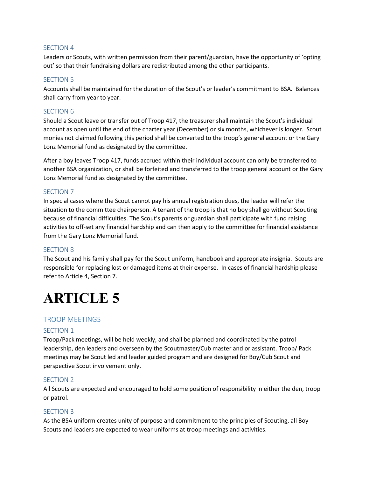Leaders or Scouts, with written permission from their parent/guardian, have the opportunity of 'opting out' so that their fundraising dollars are redistributed among the other participants.

### SECTION 5

Accounts shall be maintained for the duration of the Scout's or leader's commitment to BSA. Balances shall carry from year to year.

### SECTION 6

Should a Scout leave or transfer out of Troop 417, the treasurer shall maintain the Scout's individual account as open until the end of the charter year (December) or six months, whichever is longer. Scout monies not claimed following this period shall be converted to the troop's general account or the Gary Lonz Memorial fund as designated by the committee.

After a boy leaves Troop 417, funds accrued within their individual account can only be transferred to another BSA organization, or shall be forfeited and transferred to the troop general account or the Gary Lonz Memorial fund as designated by the committee.

### SECTION 7

In special cases where the Scout cannot pay his annual registration dues, the leader will refer the situation to the committee chairperson. A tenant of the troop is that no boy shall go without Scouting because of financial difficulties. The Scout's parents or guardian shall participate with fund raising activities to off-set any financial hardship and can then apply to the committee for financial assistance from the Gary Lonz Memorial fund.

### SECTION 8

The Scout and his family shall pay for the Scout uniform, handbook and appropriate insignia. Scouts are responsible for replacing lost or damaged items at their expense. In cases of financial hardship please refer to Article 4, Section 7.

## **ARTICLE 5**

### TROOP MEETINGS

### SECTION 1

Troop/Pack meetings, will be held weekly, and shall be planned and coordinated by the patrol leadership, den leaders and overseen by the Scoutmaster/Cub master and or assistant. Troop/ Pack meetings may be Scout led and leader guided program and are designed for Boy/Cub Scout and perspective Scout involvement only.

### SECTION 2

All Scouts are expected and encouraged to hold some position of responsibility in either the den, troop or patrol.

### SECTION 3

As the BSA uniform creates unity of purpose and commitment to the principles of Scouting, all Boy Scouts and leaders are expected to wear uniforms at troop meetings and activities.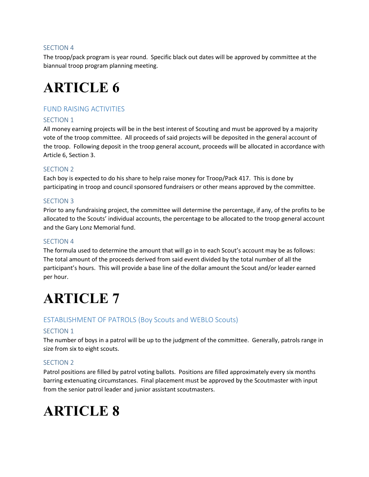The troop/pack program is year round. Specific black out dates will be approved by committee at the biannual troop program planning meeting.

## **ARTICLE 6**

## FUND RAISING ACTIVITIES

### SECTION 1

All money earning projects will be in the best interest of Scouting and must be approved by a majority vote of the troop committee. All proceeds of said projects will be deposited in the general account of the troop. Following deposit in the troop general account, proceeds will be allocated in accordance with Article 6, Section 3.

### SECTION 2

Each boy is expected to do his share to help raise money for Troop/Pack 417. This is done by participating in troop and council sponsored fundraisers or other means approved by the committee.

### SECTION 3

Prior to any fundraising project, the committee will determine the percentage, if any, of the profits to be allocated to the Scouts' individual accounts, the percentage to be allocated to the troop general account and the Gary Lonz Memorial fund.

### SECTION 4

The formula used to determine the amount that will go in to each Scout's account may be as follows: The total amount of the proceeds derived from said event divided by the total number of all the participant's hours. This will provide a base line of the dollar amount the Scout and/or leader earned per hour.

## **ARTICLE 7**

### ESTABLISHMENT OF PATROLS (Boy Scouts and WEBLO Scouts)

### SECTION 1

The number of boys in a patrol will be up to the judgment of the committee. Generally, patrols range in size from six to eight scouts.

### SECTION 2

Patrol positions are filled by patrol voting ballots. Positions are filled approximately every six months barring extenuating circumstances. Final placement must be approved by the Scoutmaster with input from the senior patrol leader and junior assistant scoutmasters.

## **ARTICLE 8**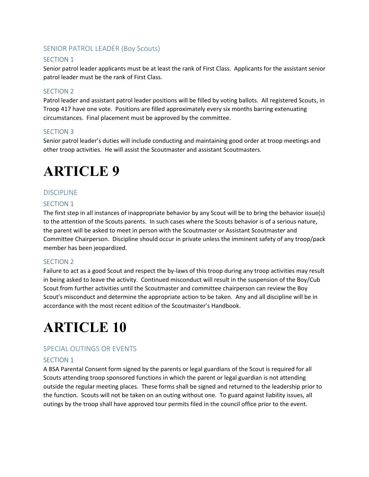### SENIOR PATROL LEADER (Boy Scouts)

### SECTION 1

Senior patrol leader applicants must be at least the rank of First Class. Applicants for the assistant senior patrol leader must be the rank of First Class.

### SECTION 2

Patrol leader and assistant patrol leader positions will be filled by voting ballots. All registered Scouts, in Troop 417 have one vote. Positions are filled approximately every six months barring extenuating circumstances. Final placement must be approved by the committee.

### SECTION 3

Senior patrol leader's duties will include conducting and maintaining good order at troop meetings and other troop activities. He will assist the Scoutmaster and assistant Scoutmasters.

## **ARTICLE 9**

### DISCIPLINE

### SECTION 1

The first step in all instances of inappropriate behavior by any Scout will be to bring the behavior issue(s) to the attention of the Scouts parents. In such cases where the Scouts behavior is of a serious nature, the parent will be asked to meet in person with the Scoutmaster or Assistant Scoutmaster and Committee Chairperson. Discipline should occur in private unless the imminent safety of any troop/pack member has been jeopardized.

### SECTION 2

Failure to act as a good Scout and respect the by-laws of this troop during any troop activities may result in being asked to leave the activity. Continued misconduct will result in the suspension of the Boy/Cub Scout from further activities until the Scoutmaster and committee chairperson can review the Boy Scout's misconduct and determine the appropriate action to be taken. Any and all discipline will be in accordance with the most recent edition of the Scoutmaster's Handbook.

## **ARTICLE 10**

## SPECIAL OUTINGS OR EVENTS

### SECTION 1

A BSA Parental Consent form signed by the parents or legal guardians of the Scout is required for all Scouts attending troop sponsored functions in which the parent or legal guardian is not attending outside the regular meeting places. These forms shall be signed and returned to the leadership prior to the function. Scouts will not be taken on an outing without one. To guard against liability issues, all outings by the troop shall have approved tour permits filed in the council office prior to the event.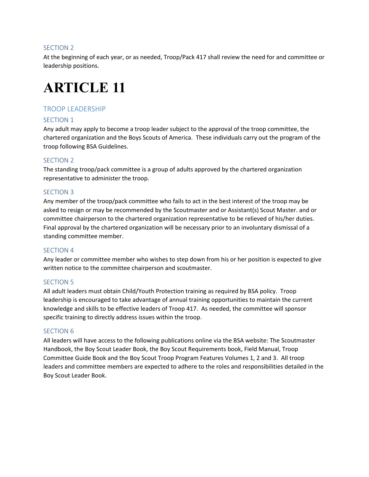At the beginning of each year, or as needed, Troop/Pack 417 shall review the need for and committee or leadership positions.

## **ARTICLE 11**

### TROOP LEADERSHIP

### SECTION 1

Any adult may apply to become a troop leader subject to the approval of the troop committee, the chartered organization and the Boys Scouts of America. These individuals carry out the program of the troop following BSA Guidelines.

### SECTION 2

The standing troop/pack committee is a group of adults approved by the chartered organization representative to administer the troop.

### SECTION 3

Any member of the troop/pack committee who fails to act in the best interest of the troop may be asked to resign or may be recommended by the Scoutmaster and or Assistant(s) Scout Master. and or committee chairperson to the chartered organization representative to be relieved of his/her duties. Final approval by the chartered organization will be necessary prior to an involuntary dismissal of a standing committee member.

### SECTION 4

Any leader or committee member who wishes to step down from his or her position is expected to give written notice to the committee chairperson and scoutmaster.

### SECTION 5

All adult leaders must obtain Child/Youth Protection training as required by BSA policy. Troop leadership is encouraged to take advantage of annual training opportunities to maintain the current knowledge and skills to be effective leaders of Troop 417. As needed, the committee will sponsor specific training to directly address issues within the troop.

### SECTION 6

All leaders will have access to the following publications online via the BSA website: The Scoutmaster Handbook, the Boy Scout Leader Book, the Boy Scout Requirements book, Field Manual, Troop Committee Guide Book and the Boy Scout Troop Program Features Volumes 1, 2 and 3. All troop leaders and committee members are expected to adhere to the roles and responsibilities detailed in the Boy Scout Leader Book.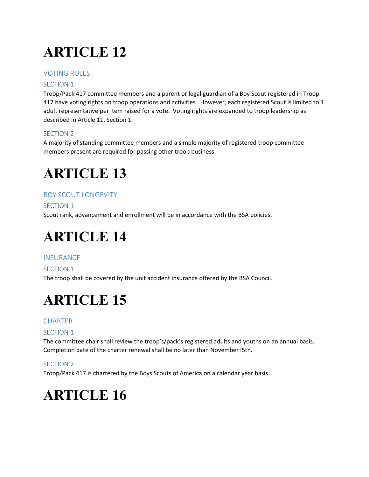# **ARTICLE 12**

## VOTING RUI FS

## SECTION 1

Troop/Pack 417 committee members and a parent or legal guardian of a Boy Scout registered in Troop 417 have voting rights on troop operations and activities. However, each registered Scout is limited to 1 adult representative per item raised for a vote. Voting rights are expanded to troop leadership as described in Article 11, Section 1.

## SECTION 2

A majority of standing committee members and a simple majority of registered troop committee members present are required for passing other troop business.

## **ARTICLE 13**

## BOY SCOUT LONGEVITY

### SECTION 1

Scout rank, advancement and enrollment will be in accordance with the BSA policies.

## **ARTICLE 14**

## **INSURANCE**

### SECTION 1

The troop shall be covered by the unit accident insurance offered by the BSA Council.

# **ARTICLE 15**

## **CHARTER**

## SECTION 1

The committee chair shall review the troop's/pack's registered adults and youths on an annual basis. Completion date of the charter renewal shall be no later than November l5th.

## SECTION 2

Troop/Pack 417 is chartered by the Boys Scouts of America on a calendar year basis.

## **ARTICLE 16**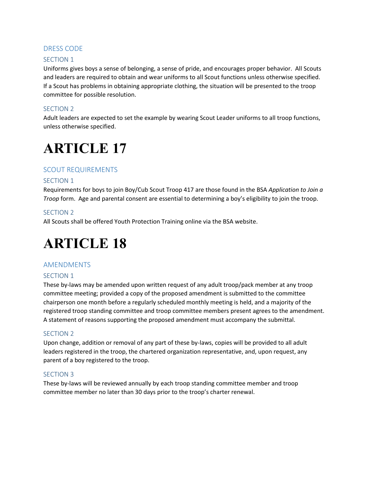### DRESS CODE

### SECTION 1

Uniforms gives boys a sense of belonging, a sense of pride, and encourages proper behavior. All Scouts and leaders are required to obtain and wear uniforms to all Scout functions unless otherwise specified. If a Scout has problems in obtaining appropriate clothing, the situation will be presented to the troop committee for possible resolution.

### SECTION 2

Adult leaders are expected to set the example by wearing Scout Leader uniforms to all troop functions, unless otherwise specified.

## **ARTICLE 17**

### SCOUT REQUIREMENTS

### SECTION 1

Requirements for boys to join Boy/Cub Scout Troop 417 are those found in the BSA *Application to Join a Troop* form. Age and parental consent are essential to determining a boy's eligibility to join the troop.

### SECTION 2

All Scouts shall be offered Youth Protection Training online via the BSA website.

## **ARTICLE 18**

### AMENDMENTS

### SECTION 1

These by-laws may be amended upon written request of any adult troop/pack member at any troop committee meeting; provided a copy of the proposed amendment is submitted to the committee chairperson one month before a regularly scheduled monthly meeting is held, and a majority of the registered troop standing committee and troop committee members present agrees to the amendment. A statement of reasons supporting the proposed amendment must accompany the submittal.

### SECTION 2

Upon change, addition or removal of any part of these by-laws, copies will be provided to all adult leaders registered in the troop, the chartered organization representative, and, upon request, any parent of a boy registered to the troop.

### SECTION 3

These by-laws will be reviewed annually by each troop standing committee member and troop committee member no later than 30 days prior to the troop's charter renewal.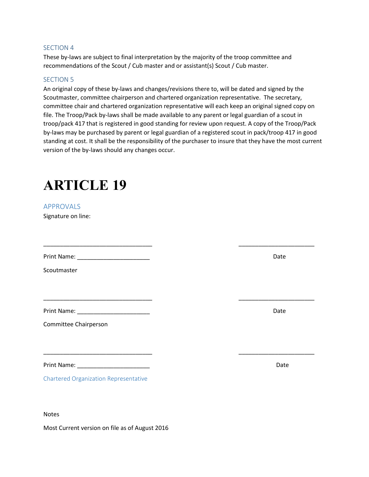These by-laws are subject to final interpretation by the majority of the troop committee and recommendations of the Scout / Cub master and or assistant(s) Scout / Cub master.

### SECTION 5

An original copy of these by-laws and changes/revisions there to, will be dated and signed by the Scoutmaster, committee chairperson and chartered organization representative. The secretary, committee chair and chartered organization representative will each keep an original signed copy on file. The Troop/Pack by-laws shall be made available to any parent or legal guardian of a scout in troop/pack 417 that is registered in good standing for review upon request. A copy of the Troop/Pack by-laws may be purchased by parent or legal guardian of a registered scout in pack/troop 417 in good standing at cost. It shall be the responsibility of the purchaser to insure that they have the most current version of the by-laws should any changes occur.

\_\_\_\_\_\_\_\_\_\_\_\_\_\_\_\_\_\_\_\_\_\_\_\_\_\_\_\_\_\_\_\_\_ \_\_\_\_\_\_\_\_\_\_\_\_\_\_\_\_\_\_\_\_\_\_\_

\_\_\_\_\_\_\_\_\_\_\_\_\_\_\_\_\_\_\_\_\_\_\_\_\_\_\_\_\_\_\_\_\_ \_\_\_\_\_\_\_\_\_\_\_\_\_\_\_\_\_\_\_\_\_\_\_

\_\_\_\_\_\_\_\_\_\_\_\_\_\_\_\_\_\_\_\_\_\_\_\_\_\_\_\_\_\_\_\_\_ \_\_\_\_\_\_\_\_\_\_\_\_\_\_\_\_\_\_\_\_\_\_\_

## **ARTICLE 19**

APPROVALS

Signature on line:

Print Name: \_\_\_\_\_\_\_\_\_\_\_\_\_\_\_\_\_\_\_\_\_\_ Date

**Scoutmaster** 

Print Name: \_\_\_\_\_\_\_\_\_\_\_\_\_\_\_\_\_\_\_\_\_\_ Date

Committee Chairperson

Print Name: \_\_\_\_\_\_\_\_\_\_\_\_\_\_\_\_\_\_\_\_\_\_ Date

Chartered Organization Representative

Notes

Most Current version on file as of August 2016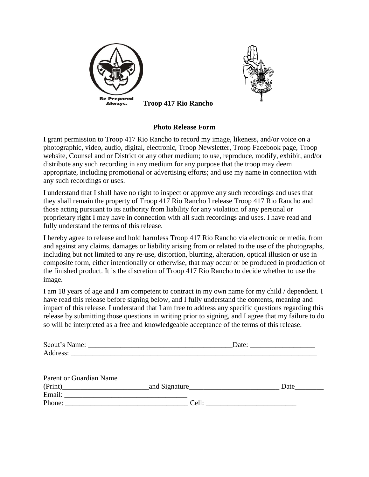



**Troop 417 Rio Rancho** 

### **Photo Release Form**

I grant permission to Troop 417 Rio Rancho to record my image, likeness, and/or voice on a photographic, video, audio, digital, electronic, Troop Newsletter, Troop Facebook page, Troop website, Counsel and or District or any other medium; to use, reproduce, modify, exhibit, and/or distribute any such recording in any medium for any purpose that the troop may deem appropriate, including promotional or advertising efforts; and use my name in connection with any such recordings or uses.

I understand that I shall have no right to inspect or approve any such recordings and uses that they shall remain the property of Troop 417 Rio Rancho I release Troop 417 Rio Rancho and those acting pursuant to its authority from liability for any violation of any personal or proprietary right I may have in connection with all such recordings and uses. I have read and fully understand the terms of this release.

I hereby agree to release and hold harmless Troop 417 Rio Rancho via electronic or media, from and against any claims, damages or liability arising from or related to the use of the photographs, including but not limited to any re-use, distortion, blurring, alteration, optical illusion or use in composite form, either intentionally or otherwise, that may occur or be produced in production of the finished product. It is the discretion of Troop 417 Rio Rancho to decide whether to use the image.

I am 18 years of age and I am competent to contract in my own name for my child / dependent. I have read this release before signing below, and I fully understand the contents, meaning and impact of this release. I understand that I am free to address any specific questions regarding this release by submitting those questions in writing prior to signing, and I agree that my failure to do so will be interpreted as a free and knowledgeable acceptance of the terms of this release.

| Parent or Guardian Name |       |      |
|-------------------------|-------|------|
| (Print)                 |       | Date |
|                         |       |      |
|                         | Cell: |      |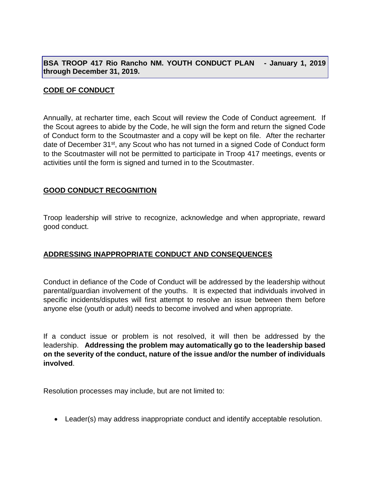**BSA TROOP 417 Rio Rancho NM. YOUTH CONDUCT PLAN - January 1, 2019 through December 31, 2019.**

### **CODE OF CONDUCT**

Annually, at recharter time, each Scout will review the Code of Conduct agreement. If the Scout agrees to abide by the Code, he will sign the form and return the signed Code of Conduct form to the Scoutmaster and a copy will be kept on file. After the recharter date of December 31<sup>st</sup>, any Scout who has not turned in a signed Code of Conduct form to the Scoutmaster will not be permitted to participate in Troop 417 meetings, events or activities until the form is signed and turned in to the Scoutmaster.

### **GOOD CONDUCT RECOGNITION**

Troop leadership will strive to recognize, acknowledge and when appropriate, reward good conduct.

## **ADDRESSING INAPPROPRIATE CONDUCT AND CONSEQUENCES**

Conduct in defiance of the Code of Conduct will be addressed by the leadership without parental/guardian involvement of the youths. It is expected that individuals involved in specific incidents/disputes will first attempt to resolve an issue between them before anyone else (youth or adult) needs to become involved and when appropriate.

If a conduct issue or problem is not resolved, it will then be addressed by the leadership. **Addressing the problem may automatically go to the leadership based on the severity of the conduct, nature of the issue and/or the number of individuals involved**.

Resolution processes may include, but are not limited to:

• Leader(s) may address inappropriate conduct and identify acceptable resolution.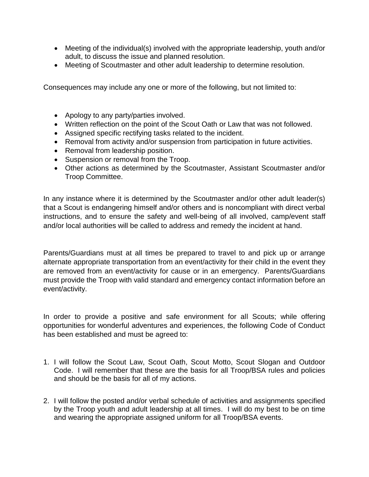- Meeting of the individual(s) involved with the appropriate leadership, youth and/or adult, to discuss the issue and planned resolution.
- Meeting of Scoutmaster and other adult leadership to determine resolution.

Consequences may include any one or more of the following, but not limited to:

- Apology to any party/parties involved.
- Written reflection on the point of the Scout Oath or Law that was not followed.
- Assigned specific rectifying tasks related to the incident.
- Removal from activity and/or suspension from participation in future activities.
- Removal from leadership position.
- Suspension or removal from the Troop.
- Other actions as determined by the Scoutmaster, Assistant Scoutmaster and/or Troop Committee.

In any instance where it is determined by the Scoutmaster and/or other adult leader(s) that a Scout is endangering himself and/or others and is noncompliant with direct verbal instructions, and to ensure the safety and well-being of all involved, camp/event staff and/or local authorities will be called to address and remedy the incident at hand.

Parents/Guardians must at all times be prepared to travel to and pick up or arrange alternate appropriate transportation from an event/activity for their child in the event they are removed from an event/activity for cause or in an emergency. Parents/Guardians must provide the Troop with valid standard and emergency contact information before an event/activity.

In order to provide a positive and safe environment for all Scouts; while offering opportunities for wonderful adventures and experiences, the following Code of Conduct has been established and must be agreed to:

- 1. I will follow the Scout Law, Scout Oath, Scout Motto, Scout Slogan and Outdoor Code. I will remember that these are the basis for all Troop/BSA rules and policies and should be the basis for all of my actions.
- 2. I will follow the posted and/or verbal schedule of activities and assignments specified by the Troop youth and adult leadership at all times. I will do my best to be on time and wearing the appropriate assigned uniform for all Troop/BSA events.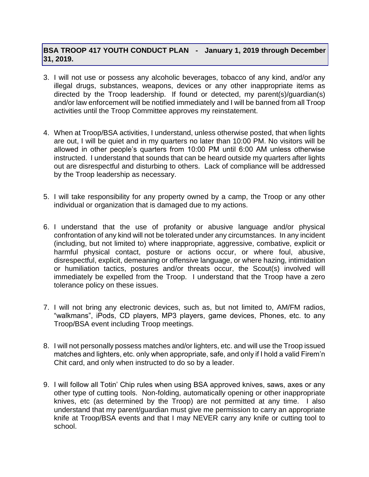## **BSA TROOP 417 YOUTH CONDUCT PLAN - January 1, 2019 through December 31, 2019.**

- 3. I will not use or possess any alcoholic beverages, tobacco of any kind, and/or any illegal drugs, substances, weapons, devices or any other inappropriate items as directed by the Troop leadership. If found or detected, my parent(s)/guardian(s) and/or law enforcement will be notified immediately and I will be banned from all Troop activities until the Troop Committee approves my reinstatement.
- 4. When at Troop/BSA activities, I understand, unless otherwise posted, that when lights are out, I will be quiet and in my quarters no later than 10:00 PM. No visitors will be allowed in other people's quarters from 10:00 PM until 6:00 AM unless otherwise instructed. I understand that sounds that can be heard outside my quarters after lights out are disrespectful and disturbing to others. Lack of compliance will be addressed by the Troop leadership as necessary.
- 5. I will take responsibility for any property owned by a camp, the Troop or any other individual or organization that is damaged due to my actions.
- 6. I understand that the use of profanity or abusive language and/or physical confrontation of any kind will not be tolerated under any circumstances. In any incident (including, but not limited to) where inappropriate, aggressive, combative, explicit or harmful physical contact, posture or actions occur, or where foul, abusive, disrespectful, explicit, demeaning or offensive language, or where hazing, intimidation or humiliation tactics, postures and/or threats occur, the Scout(s) involved will immediately be expelled from the Troop. I understand that the Troop have a zero tolerance policy on these issues.
- 7. I will not bring any electronic devices, such as, but not limited to, AM/FM radios, "walkmans", iPods, CD players, MP3 players, game devices, Phones, etc. to any Troop/BSA event including Troop meetings.
- 8. I will not personally possess matches and/or lighters, etc. and will use the Troop issued matches and lighters, etc. only when appropriate, safe, and only if I hold a valid Firem'n Chit card, and only when instructed to do so by a leader.
- 9. I will follow all Totin' Chip rules when using BSA approved knives, saws, axes or any other type of cutting tools. Non-folding, automatically opening or other inappropriate knives, etc (as determined by the Troop) are not permitted at any time. I also understand that my parent/guardian must give me permission to carry an appropriate knife at Troop/BSA events and that I may NEVER carry any knife or cutting tool to school.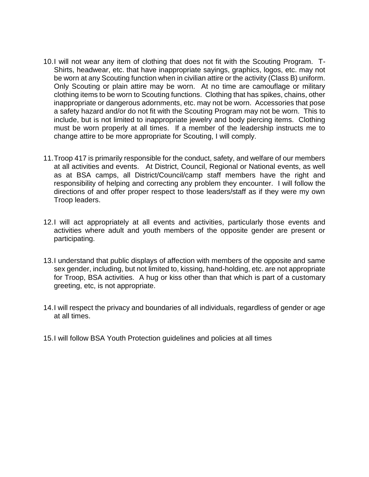- 10.I will not wear any item of clothing that does not fit with the Scouting Program. T-Shirts, headwear, etc. that have inappropriate sayings, graphics, logos, etc. may not be worn at any Scouting function when in civilian attire or the activity (Class B) uniform. Only Scouting or plain attire may be worn. At no time are camouflage or military clothing items to be worn to Scouting functions. Clothing that has spikes, chains, other inappropriate or dangerous adornments, etc. may not be worn. Accessories that pose a safety hazard and/or do not fit with the Scouting Program may not be worn. This to include, but is not limited to inappropriate jewelry and body piercing items. Clothing must be worn properly at all times. If a member of the leadership instructs me to change attire to be more appropriate for Scouting, I will comply.
- 11.Troop 417 is primarily responsible for the conduct, safety, and welfare of our members at all activities and events. At District, Council, Regional or National events, as well as at BSA camps, all District/Council/camp staff members have the right and responsibility of helping and correcting any problem they encounter. I will follow the directions of and offer proper respect to those leaders/staff as if they were my own Troop leaders.
- 12.I will act appropriately at all events and activities, particularly those events and activities where adult and youth members of the opposite gender are present or participating.
- 13.I understand that public displays of affection with members of the opposite and same sex gender, including, but not limited to, kissing, hand-holding, etc. are not appropriate for Troop, BSA activities. A hug or kiss other than that which is part of a customary greeting, etc, is not appropriate.
- 14.I will respect the privacy and boundaries of all individuals, regardless of gender or age at all times.
- 15.I will follow BSA Youth Protection guidelines and policies at all times